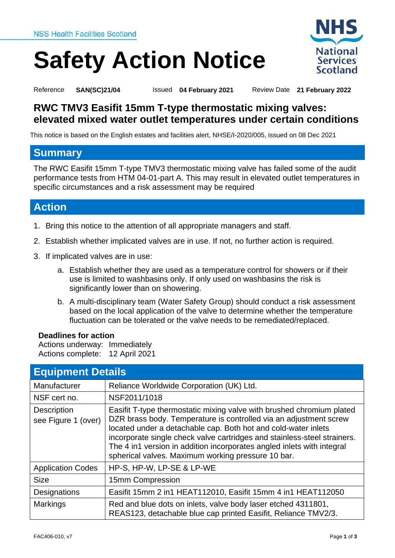# **Safety Action Notice**



<span id="page-0-0"></span>Reference **SAN(SC)21/04** Issued **04 February 2021** Review Date **21 February 2022**

<span id="page-0-1"></span>

<span id="page-0-2"></span>

## **RWC TMV3 Easifit 15mm T-type thermostatic mixing valves: elevated mixed water outlet temperatures under certain conditions**

This notice is based on the English estates and facilities alert, NHSE/I-2020/005, issued on 08 Dec 2021

#### **Summary**

The RWC Easifit 15mm T-type TMV3 thermostatic mixing valve has failed some of the audit performance tests from HTM 04-01-part A. This may result in elevated outlet temperatures in specific circumstances and a risk assessment may be required

# **Action**

- 1. Bring this notice to the attention of all appropriate managers and staff.
- 2. Establish whether implicated valves are in use. If not, no further action is required.
- 3. If implicated valves are in use:
	- a. Establish whether they are used as a temperature control for showers or if their use is limited to washbasins only. If only used on washbasins the risk is significantly lower than on showering.
	- b. A multi-disciplinary team (Water Safety Group) should conduct a risk assessment based on the local application of the valve to determine whether the temperature fluctuation can be tolerated or the valve needs to be remediated/replaced.

#### **Deadlines for action**

Actions underway: Immediately Actions complete: 12 April 2021

| <b>Equipment Details</b>                  |                                                                                                                                                                                                                                                                                                                                                                                                                          |
|-------------------------------------------|--------------------------------------------------------------------------------------------------------------------------------------------------------------------------------------------------------------------------------------------------------------------------------------------------------------------------------------------------------------------------------------------------------------------------|
| Manufacturer                              | Reliance Worldwide Corporation (UK) Ltd.                                                                                                                                                                                                                                                                                                                                                                                 |
| NSF cert no.                              | NSF2011/1018                                                                                                                                                                                                                                                                                                                                                                                                             |
| <b>Description</b><br>see Figure 1 (over) | Easifit T-type thermostatic mixing valve with brushed chromium plated<br>DZR brass body. Temperature is controlled via an adjustment screw<br>located under a detachable cap. Both hot and cold-water inlets<br>incorporate single check valve cartridges and stainless-steel strainers.<br>The 4 in1 version in addition incorporates angled inlets with integral<br>spherical valves. Maximum working pressure 10 bar. |
| <b>Application Codes</b>                  | HP-S, HP-W, LP-SE & LP-WE                                                                                                                                                                                                                                                                                                                                                                                                |
| <b>Size</b>                               | 15mm Compression                                                                                                                                                                                                                                                                                                                                                                                                         |
| Designations                              | Easifit 15mm 2 in1 HEAT112010, Easifit 15mm 4 in1 HEAT112050                                                                                                                                                                                                                                                                                                                                                             |
| <b>Markings</b>                           | Red and blue dots on inlets, valve body laser etched 4311801,<br>REAS123, detachable blue cap printed Easifit, Reliance TMV2/3.                                                                                                                                                                                                                                                                                          |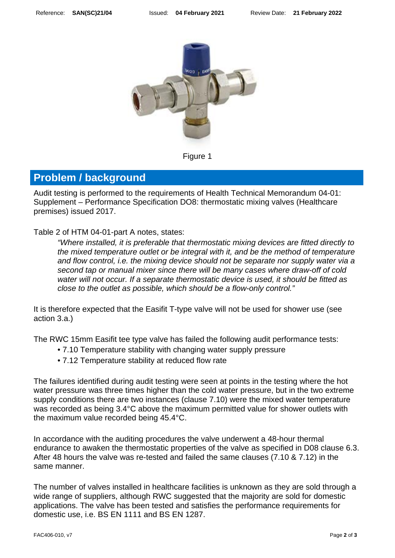

Figure 1

### **Problem / background**

Audit testing is performed to the requirements of Health Technical Memorandum 04-01: Supplement – Performance Specification DO8: thermostatic mixing valves (Healthcare premises) issued 2017.

Table 2 of HTM 04-01-part A notes, states:

*"Where installed, it is preferable that thermostatic mixing devices are fitted directly to the mixed temperature outlet or be integral with it, and be the method of temperature and flow control, i.e. the mixing device should not be separate nor supply water via a second tap or manual mixer since there will be many cases where draw-off of cold water will not occur. If a separate thermostatic device is used, it should be fitted as close to the outlet as possible, which should be a flow-only control."*

It is therefore expected that the Easifit T-type valve will not be used for shower use (see action 3.a.)

The RWC 15mm Easifit tee type valve has failed the following audit performance tests:

- 7.10 Temperature stability with changing water supply pressure
- 7.12 Temperature stability at reduced flow rate

The failures identified during audit testing were seen at points in the testing where the hot water pressure was three times higher than the cold water pressure, but in the two extreme supply conditions there are two instances (clause 7.10) were the mixed water temperature was recorded as being 3.4°C above the maximum permitted value for shower outlets with the maximum value recorded being 45.4°C.

In accordance with the auditing procedures the valve underwent a 48-hour thermal endurance to awaken the thermostatic properties of the valve as specified in D08 clause 6.3. After 48 hours the valve was re-tested and failed the same clauses (7.10 & 7.12) in the same manner.

The number of valves installed in healthcare facilities is unknown as they are sold through a wide range of suppliers, although RWC suggested that the majority are sold for domestic applications. The valve has been tested and satisfies the performance requirements for domestic use, i.e. BS EN 1111 and BS EN 1287.